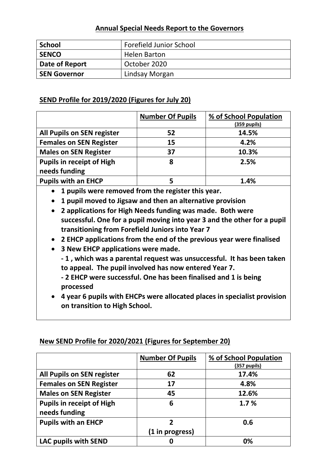## **Annual Special Needs Report to the Governors**

| <b>School</b>       | <b>Forefield Junior School</b> |
|---------------------|--------------------------------|
| <b>SENCO</b>        | <b>Helen Barton</b>            |
| Date of Report      | October 2020                   |
| <b>SEN Governor</b> | Lindsay Morgan                 |

# **SEND Profile for 2019/2020 (Figures for July 20)**

|                                  | <b>Number Of Pupils</b> | % of School Population<br>$(359$ pupils) |
|----------------------------------|-------------------------|------------------------------------------|
| All Pupils on SEN register       | 52                      | 14.5%                                    |
| <b>Females on SEN Register</b>   | 15                      | 4.2%                                     |
| <b>Males on SEN Register</b>     | 37                      | 10.3%                                    |
| <b>Pupils in receipt of High</b> | 8                       | 2.5%                                     |
| needs funding                    |                         |                                          |
| <b>Pupils with an EHCP</b>       | 5                       | 1.4%                                     |

**1 pupils were removed from the register this year.**

**1 pupil moved to Jigsaw and then an alternative provision**

- **2 applications for High Needs funding was made. Both were successful. One for a pupil moving into year 3 and the other for a pupil transitioning from Forefield Juniors into Year 7**
- **2 EHCP applications from the end of the previous year were finalised**
- **3 New EHCP applications were made.**

**- 1 , which was a parental request was unsuccessful. It has been taken to appeal. The pupil involved has now entered Year 7.**

**- 2 EHCP were successful. One has been finalised and 1 is being processed**

 **4 year 6 pupils with EHCPs were allocated places in specialist provision on transition to High School.**

# **New SEND Profile for 2020/2021 (Figures for September 20)**

|                                  | <b>Number Of Pupils</b> | % of School Population<br>(357 pupils) |
|----------------------------------|-------------------------|----------------------------------------|
| All Pupils on SEN register       | 62                      | 17.4%                                  |
| <b>Females on SEN Register</b>   | 17                      | 4.8%                                   |
| <b>Males on SEN Register</b>     | 45                      | 12.6%                                  |
| <b>Pupils in receipt of High</b> | 6                       | 1.7%                                   |
| needs funding                    |                         |                                        |
| <b>Pupils with an EHCP</b>       | 2                       | 0.6                                    |
|                                  | (1 in progress)         |                                        |
| LAC pupils with SEND             | O                       | 0%                                     |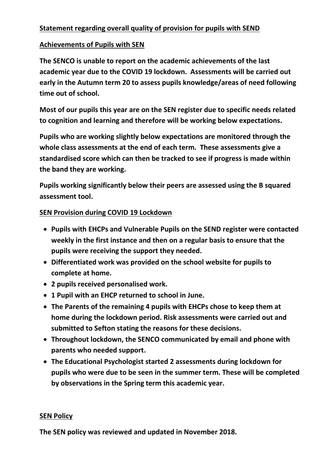# **Statement regarding overall quality of provision for pupils with SEND**

## **Achievements of Pupils with SEN**

**The SENCO is unable to report on the academic achievements of the last academic year due to the COVID 19 lockdown. Assessments will be carried out early in the Autumn term 20 to assess pupils knowledge/areas of need following time out of school.** 

**Most of our pupils this year are on the SEN register due to specific needs related to cognition and learning and therefore will be working below expectations.**

**Pupils who are working slightly below expectations are monitored through the whole class assessments at the end of each term. These assessments give a standardised score which can then be tracked to see if progress is made within the band they are working.**

**Pupils working significantly below their peers are assessed using the B squared assessment tool.** 

## **SEN Provision during COVID 19 Lockdown**

- **Pupils with EHCPs and Vulnerable Pupils on the SEND register were contacted weekly in the first instance and then on a regular basis to ensure that the pupils were receiving the support they needed.**
- **Differentiated work was provided on the school website for pupils to complete at home.**
- **2 pupils received personalised work.**
- **1 Pupil with an EHCP returned to school in June.**
- **The Parents of the remaining 4 pupils with EHCPs chose to keep them at home during the lockdown period. Risk assessments were carried out and submitted to Sefton stating the reasons for these decisions.**
- **Throughout lockdown, the SENCO communicated by email and phone with parents who needed support.**
- **The Educational Psychologist started 2 assessments during lockdown for pupils who were due to be seen in the summer term. These will be completed by observations in the Spring term this academic year.**

## **SEN Policy**

**The SEN policy was reviewed and updated in November 2018.**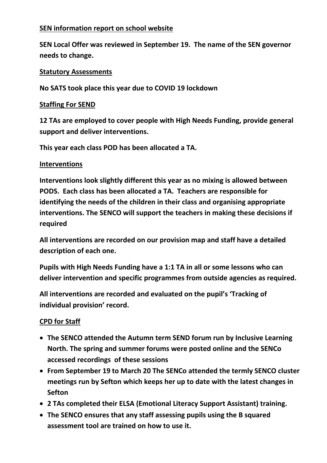# **SEN information report on school website**

**SEN Local Offer was reviewed in September 19. The name of the SEN governor needs to change.**

#### **Statutory Assessments**

**No SATS took place this year due to COVID 19 lockdown**

#### **Staffing For SEND**

**12 TAs are employed to cover people with High Needs Funding, provide general support and deliver interventions.**

**This year each class POD has been allocated a TA.**

#### **Interventions**

**Interventions look slightly different this year as no mixing is allowed between PODS. Each class has been allocated a TA. Teachers are responsible for identifying the needs of the children in their class and organising appropriate interventions. The SENCO will support the teachers in making these decisions if required**

**All interventions are recorded on our provision map and staff have a detailed description of each one.** 

**Pupils with High Needs Funding have a 1:1 TA in all or some lessons who can deliver intervention and specific programmes from outside agencies as required.** 

**All interventions are recorded and evaluated on the pupil's 'Tracking of individual provision' record.**

## **CPD for Staff**

- **The SENCO attended the Autumn term SEND forum run by Inclusive Learning North. The spring and summer forums were posted online and the SENCo accessed recordings of these sessions**
- **From September 19 to March 20 The SENCo attended the termly SENCO cluster meetings run by Sefton which keeps her up to date with the latest changes in Sefton**
- **2 TAs completed their ELSA (Emotional Literacy Support Assistant) training.**
- **The SENCO ensures that any staff assessing pupils using the B squared assessment tool are trained on how to use it.**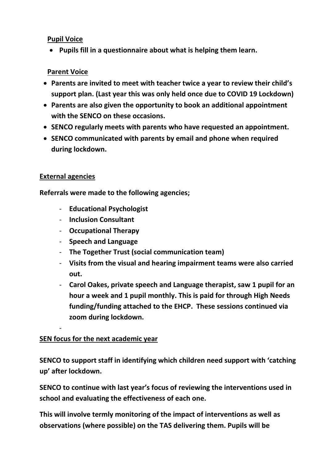## **Pupil Voice**

**Pupils fill in a questionnaire about what is helping them learn.**

# **Parent Voice**

- **Parents are invited to meet with teacher twice a year to review their child's support plan. (Last year this was only held once due to COVID 19 Lockdown)**
- **Parents are also given the opportunity to book an additional appointment with the SENCO on these occasions.**
- **SENCO regularly meets with parents who have requested an appointment.**
- **SENCO communicated with parents by email and phone when required during lockdown.**

# **External agencies**

-

**Referrals were made to the following agencies;**

- **Educational Psychologist**
- **Inclusion Consultant**
- **Occupational Therapy**
- **Speech and Language**
- **The Together Trust (social communication team)**
- **Visits from the visual and hearing impairment teams were also carried out.**
- **Carol Oakes, private speech and Language therapist, saw 1 pupil for an hour a week and 1 pupil monthly. This is paid for through High Needs funding/funding attached to the EHCP. These sessions continued via zoom during lockdown.**

# **SEN focus for the next academic year**

**SENCO to support staff in identifying which children need support with 'catching up' after lockdown.**

**SENCO to continue with last year's focus of reviewing the interventions used in school and evaluating the effectiveness of each one.**

**This will involve termly monitoring of the impact of interventions as well as observations (where possible) on the TAS delivering them. Pupils will be**